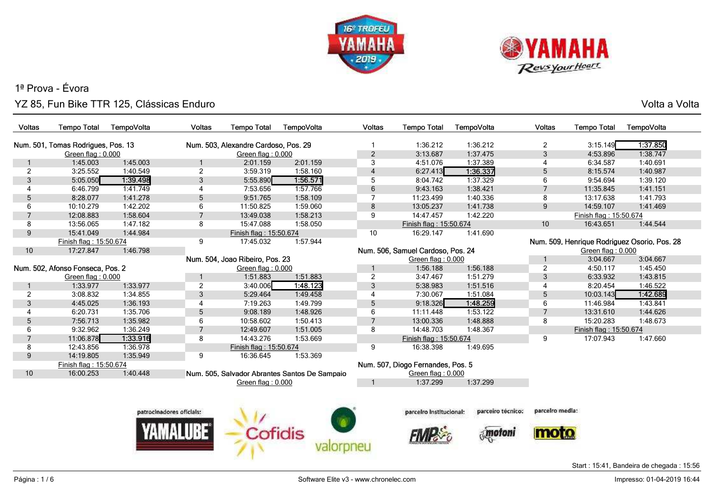



Volta a Volta

| Voltas          | <b>Tempo Total</b>                 | TempoVolta | Voltas                   | <b>Tempo Total</b>                   | TempoVolta                                    | Voltas         | <b>Tempo Total</b>                | TempoVolta        | Voltas          | <b>Tempo Total</b>     | TempoVolta                                   |
|-----------------|------------------------------------|------------|--------------------------|--------------------------------------|-----------------------------------------------|----------------|-----------------------------------|-------------------|-----------------|------------------------|----------------------------------------------|
|                 | Num. 501, Tomas Rodrigues, Pos. 13 |            |                          | Num. 503, Alexandre Cardoso, Pos. 29 |                                               |                | 1:36.212                          | 1:36.212          | $\overline{2}$  | 3:15.149               | 1.37.850                                     |
|                 | Green flag: 0.000                  |            |                          | Green flag: 0.000                    |                                               | $\sqrt{2}$     | 3:13.687                          | 1:37.475          | $\mathfrak{S}$  | 4:53.896               | 1:38.747                                     |
|                 | 1:45.003                           | 1:45.003   |                          | 2:01.159                             | 2:01.159                                      | 3              | 4:51.076                          | 1:37.389          | 4               | 6:34.587               | 1:40.691                                     |
| 2               | 3:25.552                           | 1:40.549   | $\overline{2}$           | 3:59.319                             | 1:58.160                                      | $\overline{4}$ | 6:27.413                          | 1:36.337          | 5               | 8:15.574               | 1:40.987                                     |
| 3               | 5:05.050                           | 1:39.498   | 3                        | 5:55.890                             | 1:56.571                                      | 5              | 8:04.742                          | 1:37.329          | 6               | 9:54.694               | 1:39.120                                     |
| 4               | 6:46.799                           | 1:41.749   | $\overline{4}$           | 7:53.656                             | 1:57.766                                      | $\,6\,$        | 9:43.163                          | 1:38.421          | $\overline{7}$  | 11:35.845              | 1:41.151                                     |
| 5               | 8:28.077                           | 1:41.278   | 5                        | 9:51.765                             | 1:58.109                                      | $\overline{7}$ | 11:23.499                         | 1:40.336          | 8               | 13:17.638              | 1:41.793                                     |
| 6               | 10:10.279                          | 1:42.202   | 6                        | 11:50.825                            | 1:59.060                                      | 8              | 13:05.237                         | 1:41.738          | 9               | 14:59.107              | 1:41.469                                     |
| $\overline{7}$  | 12:08.883                          | 1:58.604   | $\overline{7}$           | 13:49.038                            | 1:58.213                                      | 9              | 14:47.457                         | 1:42.220          |                 | Finish flag: 15:50.674 |                                              |
| 8               | 13:56.065                          | 1:47.182   | 8                        | 15:47.088                            | 1:58.050                                      |                | Finish flag: 15:50.674            |                   | 10              | 16:43.651              | 1:44.544                                     |
| 9               | 15:41.049                          | 1:44.984   |                          | Finish flag: 15:50.674               |                                               | 10             | 16:29.147                         | 1:41.690          |                 |                        |                                              |
|                 | Finish flag: 15:50.674             |            | 9                        | 17:45.032                            | 1:57.944                                      |                |                                   |                   |                 |                        | Num. 509, Henrique Rodriguez Osorio, Pos. 28 |
| 10 <sup>°</sup> | 17:27.847                          | 1:46.798   |                          |                                      |                                               |                | Num. 506, Samuel Cardoso, Pos. 24 |                   |                 | Green flag: 0.000      |                                              |
|                 |                                    |            |                          | Num. 504, Joao Ribeiro, Pos. 23      |                                               |                | Green flag: 0.000                 |                   |                 | 3:04.667               | 3:04.667                                     |
|                 | Num. 502, Afonso Fonseca, Pos. 2   |            |                          | Green flag: 0.000                    |                                               |                | 1:56.188                          | 1:56.188          | $\overline{2}$  | 4:50.117               | 1:45.450                                     |
|                 | Green flag: 0.000                  |            |                          | 1:51.883                             | 1:51.883                                      | $\overline{2}$ | 3:47.467                          | 1:51.279          | 3               | 6:33.932               | 1:43.815                                     |
|                 | 1:33.977                           | 1:33.977   | $\overline{2}$           | 3:40.006                             | 1:48.123                                      | $\sqrt{3}$     | 5:38.983                          | 1:51.516          | 4               | 8:20.454               | 1:46.522                                     |
| 2               | 3:08.832                           | 1:34.855   | 3                        | 5:29.464                             | 1:49.458                                      | $\overline{4}$ | 7:30.067                          | 1:51.084          | 5               | 10:03.143              | 1:42.689                                     |
| 3               | 4:45.025                           | 1:36.193   | $\overline{4}$           | 7:19.263                             | 1:49.799                                      | $\mathbf 5$    | 9:18.326                          | 1:48.259          | 6               | 11:46.984              | 1:43.841                                     |
| 4               | 6:20.731                           | 1:35.706   | 5                        | 9:08.189                             | 1:48.926                                      | 6              | 11:11.448                         | 1:53.122          | $\overline{7}$  | 13:31.610              | 1:44.626                                     |
| 5               | 7:56.713                           | 1:35.982   | 6                        | 10:58.602                            | 1:50.413                                      | $\overline{7}$ | 13:00.336                         | 1:48.888          | 8               | 15:20.283              | 1:48.673                                     |
| 6               | 9:32.962                           | 1:36.249   | $\overline{7}$           | 12:49.607                            | 1:51.005                                      | 8              | 14:48.703                         | 1:48.367          |                 | Finish flag: 15:50.674 |                                              |
| $\overline{7}$  | 11:06.878                          | 1:33.916   | 8                        | 14:43.276                            | 1:53.669                                      |                | Finish flag: 15:50.674            |                   | 9               | 17:07.943              | 1:47.660                                     |
| 8               | 12:43.856                          | 1:36.978   |                          | Finish flag: 15:50.674               |                                               | 9              | 16:38.398                         | 1:49.695          |                 |                        |                                              |
| 9               | 14:19.805                          | 1:35.949   | 9                        | 16:36.645                            | 1:53.369                                      |                |                                   |                   |                 |                        |                                              |
|                 | Finish flag: 15:50.674             |            |                          |                                      |                                               |                | Num. 507, Diogo Fernandes, Pos. 5 |                   |                 |                        |                                              |
| 10 <sup>°</sup> | 16:00.253                          | 1:40.448   |                          |                                      | Num. 505, Salvador Abrantes Santos De Sampaio |                | Green flag: 0.000                 |                   |                 |                        |                                              |
|                 |                                    |            |                          | Green flag: 0.000                    |                                               | $\overline{1}$ | 1:37.299                          | 1:37.299          |                 |                        |                                              |
|                 |                                    |            |                          |                                      |                                               |                |                                   |                   |                 |                        |                                              |
|                 |                                    |            |                          |                                      |                                               |                |                                   |                   |                 |                        |                                              |
|                 |                                    |            | patrocinadores oficiais: |                                      |                                               |                | parceiro institucional:           | parceiro técnico: | parcelro media: |                        |                                              |
|                 |                                    |            |                          |                                      |                                               |                |                                   |                   |                 |                        |                                              |
|                 |                                    |            |                          | Cofidis                              |                                               |                |                                   | motoni            |                 |                        |                                              |
|                 |                                    |            |                          |                                      |                                               |                |                                   |                   |                 |                        |                                              |
|                 |                                    |            |                          |                                      |                                               |                |                                   |                   |                 |                        |                                              |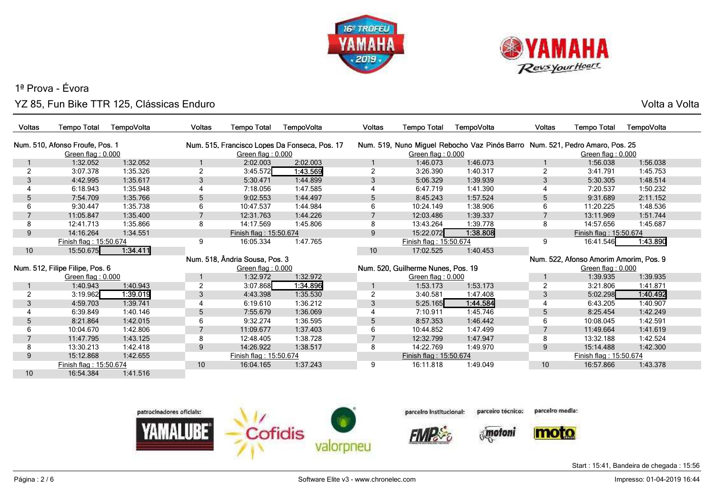



Volta a Volta

| <b>Voltas</b> | <b>Tempo Total</b>              | TempoVolta | <b>Voltas</b>  | <b>Tempo Total</b>             | TempoVolta                                    | <b>Voltas</b> | <b>Tempo Total</b>                 | TempoVolta                                                                   | Voltas         | <b>Tempo Total</b>                     | TempoVolta |
|---------------|---------------------------------|------------|----------------|--------------------------------|-----------------------------------------------|---------------|------------------------------------|------------------------------------------------------------------------------|----------------|----------------------------------------|------------|
|               | Num. 510, Afonso Froufe, Pos. 1 |            |                |                                | Num. 515, Francisco Lopes Da Fonseca, Pos. 17 |               |                                    | Num. 519, Nuno Miguel Rebocho Vaz Pinós Barro Num. 521, Pedro Amaro, Pos. 25 |                |                                        |            |
|               | Green flag: $0.000$             |            |                | Green flag: 0.000              |                                               |               | Green flag: 0.000                  |                                                                              |                | Green flag: 0.000                      |            |
|               | 1:32.052                        | 1:32.052   |                | 2:02.003                       | 2:02.003                                      |               | 1:46.073                           | 1:46.073                                                                     |                | 1:56.038                               | 1:56.038   |
| 2             | 3:07.378                        | 1:35.326   |                | 3:45.572                       | 1:43.569                                      | 2             | 3:26.390                           | 1:40.317                                                                     | $\overline{2}$ | 3:41.791                               | 1:45.753   |
| 3             | 4:42.995                        | 1:35.617   | 3              | 5:30.471                       | 1:44.899                                      | 3             | 5:06.329                           | 1:39.939                                                                     | 3              | 5:30.305                               | 1:48.514   |
|               | 6:18.943                        | 1:35.948   |                | 7:18.056                       | 1:47.585                                      |               | 6:47.719                           | 1:41.390                                                                     |                | 7:20.537                               | 1:50.232   |
| 5             | 7:54.709                        | 1:35.766   | 5              | 9:02.553                       | 1:44.497                                      | 5             | 8:45.243                           | 1:57.524                                                                     | 5              | 9:31.689                               | 2:11.152   |
| 6             | 9:30.447                        | 1:35.738   | 6              | 10:47.537                      | 1:44.984                                      | 6             | 10:24.149                          | 1:38.906                                                                     | 6              | 11:20.225                              | 1:48.536   |
|               | 11:05.847                       | 1:35.400   | $\overline{7}$ | 12:31.763                      | 1:44.226                                      |               | 12:03.486                          | 1:39.337                                                                     | $\overline{7}$ | 13:11.969                              | 1:51.744   |
| 8             | 12:41.713                       | 1:35.866   | 8              | 14:17.569                      | 1:45.806                                      | 8             | 13:43.264                          | 1:39.778                                                                     | 8              | 14:57.656                              | 1:45.687   |
| 9             | 14:16.264                       | 1:34.551   |                | Finish flag: 15:50.674         |                                               | 9             | 15:22.072                          | 1:38.808                                                                     |                | Finish flag: 15:50.674                 |            |
|               | Finish flag: 15:50.674          |            | 9              | 16:05.334                      | 1:47.765                                      |               | Finish flag: 15:50.674             |                                                                              | 9              | 16:41.546                              | 1.43.890   |
| 10            | 15:50.675                       | 1:34.411   |                |                                |                                               | 10            | 17:02.525                          | 1:40.453                                                                     |                |                                        |            |
|               |                                 |            |                | Num. 518, Ândria Sousa, Pos. 3 |                                               |               |                                    |                                                                              |                | Num. 522, Afonso Amorim Amorim, Pos. 9 |            |
|               | Num. 512, Filipe Filipe, Pos. 6 |            |                | Green flag: 0.000              |                                               |               | Num. 520, Guilherme Nunes, Pos. 19 |                                                                              |                | Green flag: $0.000$                    |            |
|               | Green flag: $0.000$             |            |                | 1:32.972                       | 1:32.972                                      |               | Green flag: $0.000$                |                                                                              |                | 1:39.935                               | 1:39.935   |
|               | 1:40.943                        | 1:40.943   |                | 3:07.868                       | 1:34.896                                      |               | 1:53.173                           | 1:53.173                                                                     | $\overline{2}$ | 3:21.806                               | 1:41.871   |
| 2             | 3:19.962                        | 1:39.019   | 3              | 4:43.398                       | 1:35.530                                      | 2             | 3:40.581                           | 1:47.408                                                                     | 3              | 5:02.298                               | 1.40.492   |
| 3             | 4:59.703                        | 1:39.741   | $\overline{4}$ | 6:19.610                       | 1:36.212                                      | 3             | 5:25.165                           | 1:44.584                                                                     |                | 6:43.205                               | 1:40.907   |
|               | 6:39.849                        | 1:40.146   | 5              | 7:55.679                       | 1:36.069                                      |               | 7:10.911                           | 1:45.746                                                                     | 5              | 8:25.454                               | 1:42.249   |
| 5             | 8:21.864                        | 1:42.015   | 6              | 9:32.274                       | 1:36.595                                      | 5             | 8:57.353                           | 1:46.442                                                                     | 6              | 10:08.045                              | 1:42.591   |
| 6             | 10:04.670                       | 1:42.806   | $\overline{7}$ | 11:09.677                      | 1:37.403                                      | 6             | 10:44.852                          | 1:47.499                                                                     | $\overline{7}$ | 11:49.664                              | 1:41.619   |
|               | 11:47.795                       | 1:43.125   | 8              | 12:48.405                      | 1:38.728                                      |               | 12:32.799                          | 1:47.947                                                                     | 8              | 13:32.188                              | 1:42.524   |
| 8             | 13:30.213                       | 1:42.418   | 9              | 14:26.922                      | 1:38.517                                      | 8             | 14:22.769                          | 1:49.970                                                                     | 9              | 15:14.488                              | 1:42.300   |
| 9             | 15:12.868                       | 1:42.655   |                | Finish flag: 15:50.674         |                                               |               | Finish flag: 15:50.674             |                                                                              |                | Finish flag: 15:50.674                 |            |
|               | Finish flag: 15:50.674          |            | 10             | 16:04.165                      | 1:37.243                                      | 9             | 16:11.818                          | 1:49.049                                                                     | 10             | 16:57.866                              | 1:43.378   |
| 10            | 16:54.384                       | 1:41.516   |                |                                |                                               |               |                                    |                                                                              |                |                                        |            |

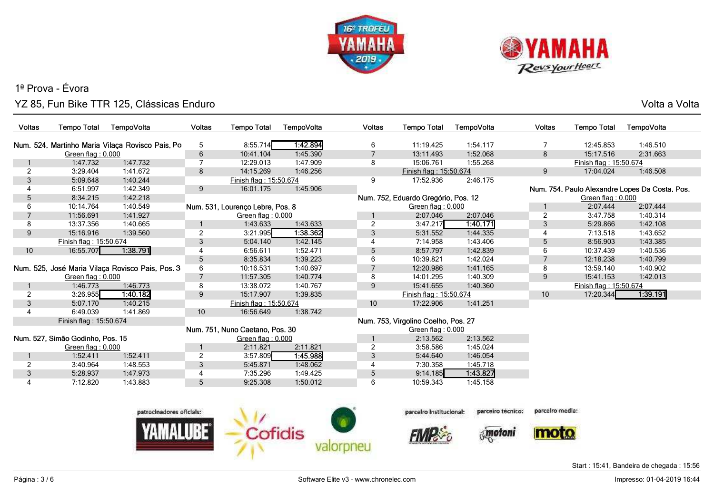



Volta a Volta

| Voltas         | <b>Tempo Total</b>               | TempoVolta                                       | <b>Voltas</b>   | <b>Tempo Total</b>               | TempoVolta | Voltas         | <b>Tempo Total</b>                  | TempoVolta                  | <b>Voltas</b>   | <b>Tempo Total</b>     | TempoVolta                                     |
|----------------|----------------------------------|--------------------------------------------------|-----------------|----------------------------------|------------|----------------|-------------------------------------|-----------------------------|-----------------|------------------------|------------------------------------------------|
|                |                                  | Num. 524, Martinho Maria Vilaça Rovisco Pais, Po | 5               | 8:55.714                         | 1:42.894   | 6              | 11:19.425                           | 1:54.117                    | 7               | 12:45.853              | 1:46.510                                       |
|                | Green flag: 0.000                |                                                  | $\,6\,$         | 10:41.104                        | 1:45.390   | $\overline{7}$ | 13:11.493                           | 1:52.068                    | $\bf 8$         | 15:17.516              | 2:31.663                                       |
|                | 1:47.732                         | 1:47.732                                         | $\overline{7}$  | 12:29.013                        | 1:47.909   | 8              | 15:06.761                           | 1:55.268                    |                 | Finish flag: 15:50.674 |                                                |
| 2              | 3:29.404                         | 1:41.672                                         | 8               | 14:15.269                        | 1:46.256   |                | Finish flag: 15:50.674              |                             | 9               | 17:04.024              | 1:46.508                                       |
| 3              | 5:09.648                         | 1:40.244                                         |                 | Finish flag: 15:50.674           |            | 9              | 17:52.936                           | 2:46.175                    |                 |                        |                                                |
| 4              | 6:51.997                         | 1:42.349                                         | 9               | 16:01.175                        | 1:45.906   |                |                                     |                             |                 |                        | Num. 754, Paulo Alexandre Lopes Da Costa, Pos. |
| 5              | 8:34.215                         | 1:42.218                                         |                 |                                  |            |                | Num. 752, Eduardo Gregório, Pos. 12 |                             |                 | Green flag: 0.000      |                                                |
| 6              | 10:14.764                        | 1:40.549                                         |                 | Num. 531, Lourenco Lebre, Pos. 8 |            |                | Green flag: $0.000$                 |                             | 1               | 2:07.444               | 2:07.444                                       |
| $\overline{7}$ | 11:56.691                        | 1:41.927                                         |                 | Green flag: 0.000                |            |                | 2:07.046                            | 2:07.046                    | $\overline{2}$  | 3:47.758               | 1:40.314                                       |
| 8              | 13:37.356                        | 1:40.665                                         |                 | 1:43.633                         | 1:43.633   | $\overline{2}$ | 3:47.217                            | 1.40.171                    | 3               | 5:29.866               | 1:42.108                                       |
| 9              | 15:16.916                        | 1:39.560                                         | $\overline{2}$  | 3:21.995                         | 1:38.362   | 3              | 5:31.552                            | 1:44.335                    | $\overline{4}$  | 7:13.518               | 1:43.652                                       |
|                | Finish flag: 15:50.674           |                                                  | $\mathbf{3}$    | 5:04.140                         | 1:42.145   | 4              | 7:14.958                            | 1:43.406                    | 5               | 8:56.903               | 1:43.385                                       |
| 10             | 16:55.707                        | 1:38.791                                         | 4               | 6:56.611                         | 1:52.471   | 5              | 8:57.797                            | 1:42.839                    | 6               | 10:37.439              | 1:40.536                                       |
|                |                                  |                                                  | $5\phantom{.0}$ | 8:35.834                         | 1:39.223   | 6              | 10:39.821                           | 1:42.024                    | $\overline{7}$  | 12:18.238              | 1:40.799                                       |
|                |                                  | Num. 525, José Maria Vilaça Rovisco Pais, Pos. 3 | 6               | 10:16.531                        | 1:40.697   | $\overline{7}$ | 12:20.986                           | 1:41.165                    | 8               | 13:59.140              | 1:40.902                                       |
|                | Green flag: 0.000                |                                                  | $\overline{7}$  | 11:57.305                        | 1:40.774   | 8              | 14:01.295                           | 1:40.309                    | 9               | 15:41.153              | 1:42.013                                       |
|                | 1:46.773                         | 1:46.773                                         | 8               | 13:38.072                        | 1:40.767   | 9              | 15:41.655                           | 1:40.360                    |                 | Finish flag: 15:50.674 |                                                |
| $\overline{2}$ | 3:26.955                         | 1:40.182                                         | 9               | 15:17.907                        | 1:39.835   |                | Finish flag: 15:50.674              |                             | 10              | 17:20.344              | 1:39.191                                       |
| 3              | 5:07.170                         | 1:40.215                                         |                 | Finish flag: 15:50.674           |            | 10             | 17:22.906                           | 1:41.251                    |                 |                        |                                                |
| 4              | 6:49.039                         | 1:41.869                                         | 10              | 16:56.649                        | 1:38.742   |                |                                     |                             |                 |                        |                                                |
|                | Finish flag: 15:50.674           |                                                  |                 |                                  |            |                | Num. 753, Virgolino Coelho, Pos. 27 |                             |                 |                        |                                                |
|                |                                  |                                                  |                 | Num. 751, Nuno Caetano, Pos. 30  |            |                | Green flag: 0.000                   |                             |                 |                        |                                                |
|                | Num. 527, Simão Godinho, Pos. 15 |                                                  |                 | Green flag: 0.000                |            |                | 2:13.562                            | 2:13.562                    |                 |                        |                                                |
|                | Green flag: 0.000                |                                                  | $\mathbf{1}$    | 2:11.821                         | 2:11.821   | $\overline{2}$ | 3:58.586                            | 1:45.024                    |                 |                        |                                                |
|                | 1:52.411                         | 1:52.411                                         | $\overline{2}$  | 3:57.809                         | 1:45.988   | 3              | 5:44.640                            | 1:46.054                    |                 |                        |                                                |
| $\overline{c}$ | 3:40.964                         | 1:48.553                                         | $\sqrt{3}$      | 5:45.871                         | 1:48.062   | 4              | 7:30.358                            | 1:45.718                    |                 |                        |                                                |
| 3              | 5:28.937                         | 1:47.973                                         | 4               | 7:35.296                         | 1:49.425   | 5              | 9:14.185                            | 1:43.827                    |                 |                        |                                                |
| 4              | 7:12.820                         | 1:43.883                                         | 5               | 9:25.308                         | 1:50.012   | 6              | 10:59.343                           | 1:45.158                    |                 |                        |                                                |
|                |                                  | patrocinadores oficiais:                         |                 |                                  |            |                | parceiro institucional:             | parceiro técnico:<br>motoni | parceiro media: |                        |                                                |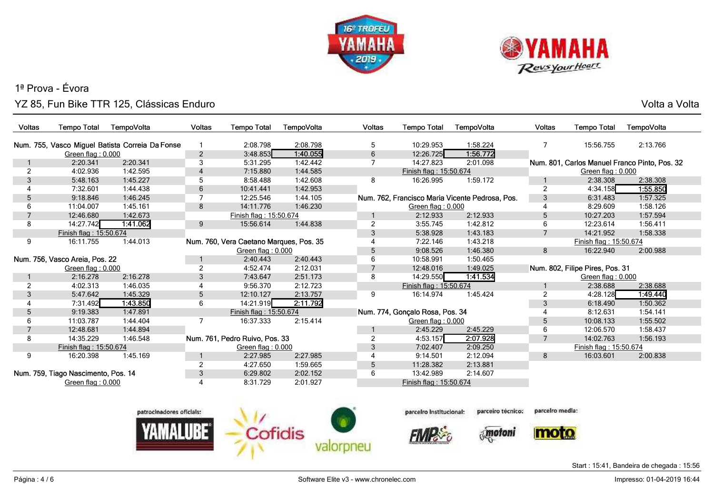



Volta a Volta

| <b>Voltas</b> | <b>Tempo Total</b>                  | TempoVolta                                      | Voltas         | <b>Tempo Total</b>                      | TempoVolta | <b>Voltas</b>  | <b>Tempo Total</b>              | TempoVolta                                      | <b>Voltas</b>   | <b>Tempo Total</b>              | TempoVolta                                    |
|---------------|-------------------------------------|-------------------------------------------------|----------------|-----------------------------------------|------------|----------------|---------------------------------|-------------------------------------------------|-----------------|---------------------------------|-----------------------------------------------|
|               |                                     | Num. 755, Vasco Miguel Batista Correia Da Fonse |                | 2:08.798                                | 2:08.798   | 5              | 10:29.953                       | 1:58.224                                        | 7               | 15:56.755                       | 2:13.766                                      |
|               | Green flag: 0.000                   |                                                 | $\overline{2}$ | 3:48.853                                | 1:40.055   | 6              | 12:26.725                       | 1:56.772                                        |                 |                                 |                                               |
|               | 2:20.341                            | 2:20.341                                        | 3              | 5:31.295                                | 1:42.442   | $\overline{7}$ | 14:27.823                       | 2:01.098                                        |                 |                                 | Num. 801, Carlos Manuel Franco Pinto, Pos. 32 |
| 2             | 4:02.936                            | 1:42.595                                        | 4              | 7:15.880                                | 1:44.585   |                | Finish flag: 15:50.674          |                                                 |                 | Green flag: 0.000               |                                               |
| 3             | 5:48.163                            | 1:45.227                                        | 5              | 8:58.488                                | 1:42.608   | 8              | 16:26.995                       | 1:59.172                                        |                 | 2:38.308                        | 2:38.308                                      |
|               | 7:32.601                            | 1:44.438                                        | 6              | 10:41.441                               | 1:42.953   |                |                                 |                                                 | $\overline{2}$  | 4:34.158                        | 1.55.850                                      |
| 5             | 9:18.846                            | 1:46.245                                        | 7              | 12:25.546                               | 1:44.105   |                |                                 | Num. 762, Francisco Maria Vicente Pedrosa, Pos. | 3               | 6:31.483                        | 1:57.325                                      |
| 6             | 11:04.007                           | 1:45.161                                        | 8              | 14:11.776                               | 1:46.230   |                | Green flag: 0.000               |                                                 | 4               | 8:29.609                        | 1:58.126                                      |
|               | 12:46.680                           | 1:42.673                                        |                | Finish flag: 15:50.674                  |            |                | 2:12.933                        | 2:12.933                                        | 5               | 10:27.203                       | 1:57.594                                      |
| 8             | 14:27.742                           | 1:41.062                                        | 9              | 15:56.614                               | 1:44.838   | $\overline{2}$ | 3:55.745                        | 1:42.812                                        | 6               | 12:23.614                       | 1:56.411                                      |
|               | Finish flag: 15:50.674              |                                                 |                |                                         |            | $\mathbf{3}$   | 5:38.928                        | 1:43.183                                        | $\overline{7}$  | 14:21.952                       | 1:58.338                                      |
| 9             | 16:11.755                           | 1:44.013                                        |                | Num. 760, Vera Caetano Marques, Pos. 35 |            |                | 7:22.146                        | 1:43.218                                        |                 | Finish flag: 15:50.674          |                                               |
|               |                                     |                                                 |                | Green flag: 0.000                       |            | 5              | 9:08.526                        | 1:46.380                                        | 8               | 16:22.940                       | 2:00.988                                      |
|               | Num. 756, Vasco Areia, Pos. 22      |                                                 |                | 2:40.443                                | 2:40.443   | 6              | 10:58.991                       | 1:50.465                                        |                 |                                 |                                               |
|               | Green flag: $0.000$                 |                                                 | 2              | 4:52.474                                | 2:12.031   |                | 12:48.016                       | 1:49.025                                        |                 | Num. 802, Filipe Pires, Pos. 31 |                                               |
|               | 2:16.278                            | 2:16.278                                        | 3              | 7:43.647                                | 2:51.173   | 8              | 14:29.550                       | 1:41.534                                        |                 | Green flag: 0.000               |                                               |
| 2             | 4:02.313                            | 1:46.035                                        | 4              | 9:56.370                                | 2:12.723   |                | Finish flag: 15:50.674          |                                                 |                 | 2:38.688                        | 2:38.688                                      |
| 3             | 5:47.642                            | 1:45.329                                        | 5              | 12:10.127                               | 2:13.757   | 9              | 16:14.974                       | 1:45.424                                        | $\overline{2}$  | 4:28.128                        | 1.49.440                                      |
|               | 7:31.492                            | 1:43.850                                        | 6              | 14:21.919                               | 2:11.792   |                |                                 |                                                 | 3               | 6:18.490                        | 1:50.362                                      |
| 5             | 9:19.383                            | 1:47.891                                        |                | Finish flag: 15:50.674                  |            |                | Num. 774, Gonçalo Rosa, Pos. 34 |                                                 | 4               | 8:12.631                        | 1:54.141                                      |
| 6             | 11:03.787                           | 1:44.404                                        | 7              | 16:37.333                               | 2:15.414   |                | Green flag: 0.000               |                                                 | 5               | 10:08.133                       | 1:55.502                                      |
|               | 12:48.681                           | 1:44.894                                        |                |                                         |            |                | 2:45.229                        | 2:45.229                                        | 6               | 12:06.570                       | 1:58.437                                      |
| 8             | 14:35.229                           | 1:46.548                                        |                | Num. 761, Pedro Ruivo, Pos. 33          |            | $\overline{2}$ | 4:53.157                        | 2:07.928                                        | $\overline{7}$  | 14:02.763                       | 1:56.193                                      |
|               | Finish flag: 15:50.674              |                                                 |                | Green flag: 0.000                       |            | 3              | 7:02.407                        | 2:09.250                                        |                 | Finish flag: 15:50.674          |                                               |
| 9             | 16:20.398                           | 1:45.169                                        |                | 2:27.985                                | 2:27.985   | 4              | 9:14.501                        | 2:12.094                                        | 8               | 16:03.601                       | 2:00.838                                      |
|               |                                     |                                                 | $\overline{2}$ | 4:27.650                                | 1:59.665   | 5              | 11:28.382                       | 2:13.881                                        |                 |                                 |                                               |
|               | Num. 759, Tiago Nascimento, Pos. 14 |                                                 | 3              | 6:29.802                                | 2:02.152   | 6              | 13:42.989                       | 2:14.607                                        |                 |                                 |                                               |
|               | Green flag: 0.000                   |                                                 | 4              | 8:31.729                                | 2:01.927   |                | Finish flag: 15:50.674          |                                                 |                 |                                 |                                               |
|               |                                     |                                                 |                |                                         |            |                |                                 |                                                 |                 |                                 |                                               |
|               |                                     |                                                 |                |                                         |            |                |                                 |                                                 |                 |                                 |                                               |
|               |                                     | patrocinadores oficiais:                        |                | $\mathbf{r}$ . The same                 |            |                | parceiro institucional:         | parceiro técnico:                               | parcelro media: |                                 |                                               |



parcelro Institucional:

**FIVIR** 

parceiro media

 $\sqrt{\frac{1}{2}}$ 



Start : 15:41, Bandeira de chegada : 15:56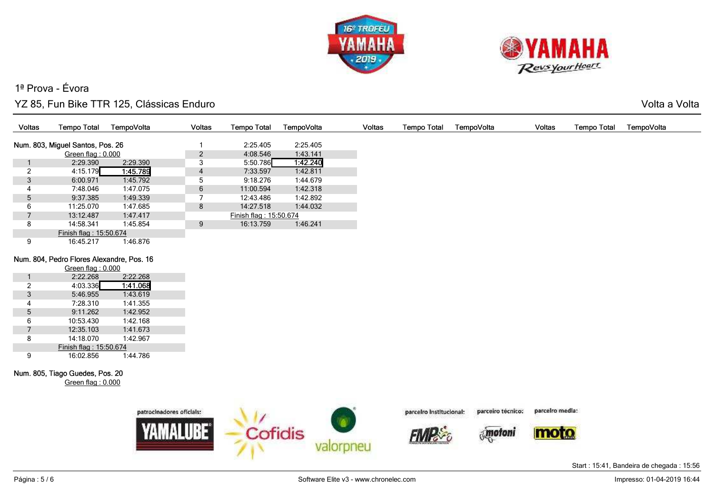



Volta a Volta

| Voltas | <b>Tempo Total</b>                        | TempoVolta | Voltas         | <b>Tempo Total</b>     | TempoVolta | Voltas | <b>Tempo Total</b> | TempoVolta | Voltas | <b>Tempo Total</b> | TempoVolta |
|--------|-------------------------------------------|------------|----------------|------------------------|------------|--------|--------------------|------------|--------|--------------------|------------|
|        | Num. 803, Miguel Santos, Pos. 26          |            |                | 2:25.405               | 2:25.405   |        |                    |            |        |                    |            |
|        | Green flag: 0.000                         |            | $\overline{2}$ | 4:08.546               | 1:43.141   |        |                    |            |        |                    |            |
|        | 2:29.390                                  | 2:29.390   | 3              | 5:50.786               | 1:42.240   |        |                    |            |        |                    |            |
|        | 4:15.179                                  | 1:45.789   | 4              | 7:33.597               | 1:42.811   |        |                    |            |        |                    |            |
| 3      | 6:00.971                                  | 1:45.792   | 5              | 9:18.276               | 1:44.679   |        |                    |            |        |                    |            |
|        | 7:48.046                                  | 1:47.075   | 6              | 11:00.594              | 1:42.318   |        |                    |            |        |                    |            |
| 5      | 9:37.385                                  | 1:49.339   |                | 12:43.486              | 1:42.892   |        |                    |            |        |                    |            |
| 6      | 11:25.070                                 | 1:47.685   | 8              | 14:27.518              | 1:44.032   |        |                    |            |        |                    |            |
|        | 13:12.487                                 | 1:47.417   |                | Finish flag: 15:50.674 |            |        |                    |            |        |                    |            |
| 8      | 14:58.341                                 | 1:45.854   | 9              | 16:13.759              | 1:46.241   |        |                    |            |        |                    |            |
|        | Finish flag: 15:50.674                    |            |                |                        |            |        |                    |            |        |                    |            |
| 9      | 16:45.217                                 | 1:46.876   |                |                        |            |        |                    |            |        |                    |            |
|        | Num. 804, Pedro Flores Alexandre, Pos. 16 |            |                |                        |            |        |                    |            |        |                    |            |
|        | Green flag: 0.000                         |            |                |                        |            |        |                    |            |        |                    |            |
|        | 2:22.268                                  | 2:22.268   |                |                        |            |        |                    |            |        |                    |            |
|        | 4:03.336                                  | 1:41.068   |                |                        |            |        |                    |            |        |                    |            |
| 3      | 5:46.955                                  | 1:43.619   |                |                        |            |        |                    |            |        |                    |            |
| 4      | 7:28.310                                  | 1:41.355   |                |                        |            |        |                    |            |        |                    |            |



1:42.952

1:42.168

1:41.673

1:42.967

1:44.786



parcelro Institucional:

parcelro media: parceiro técnico:



moto

Start : 15:41, Bandeira de chegada : 15:56

5 9:11.262<br>6 10:53.430

6 10:53.430<br>7 12:35.103

8 14:18.070

9 16:02.856

Num. 805, Tiago Guedes, Pos. 20

12:35.103

Finish flag : 15:50.674